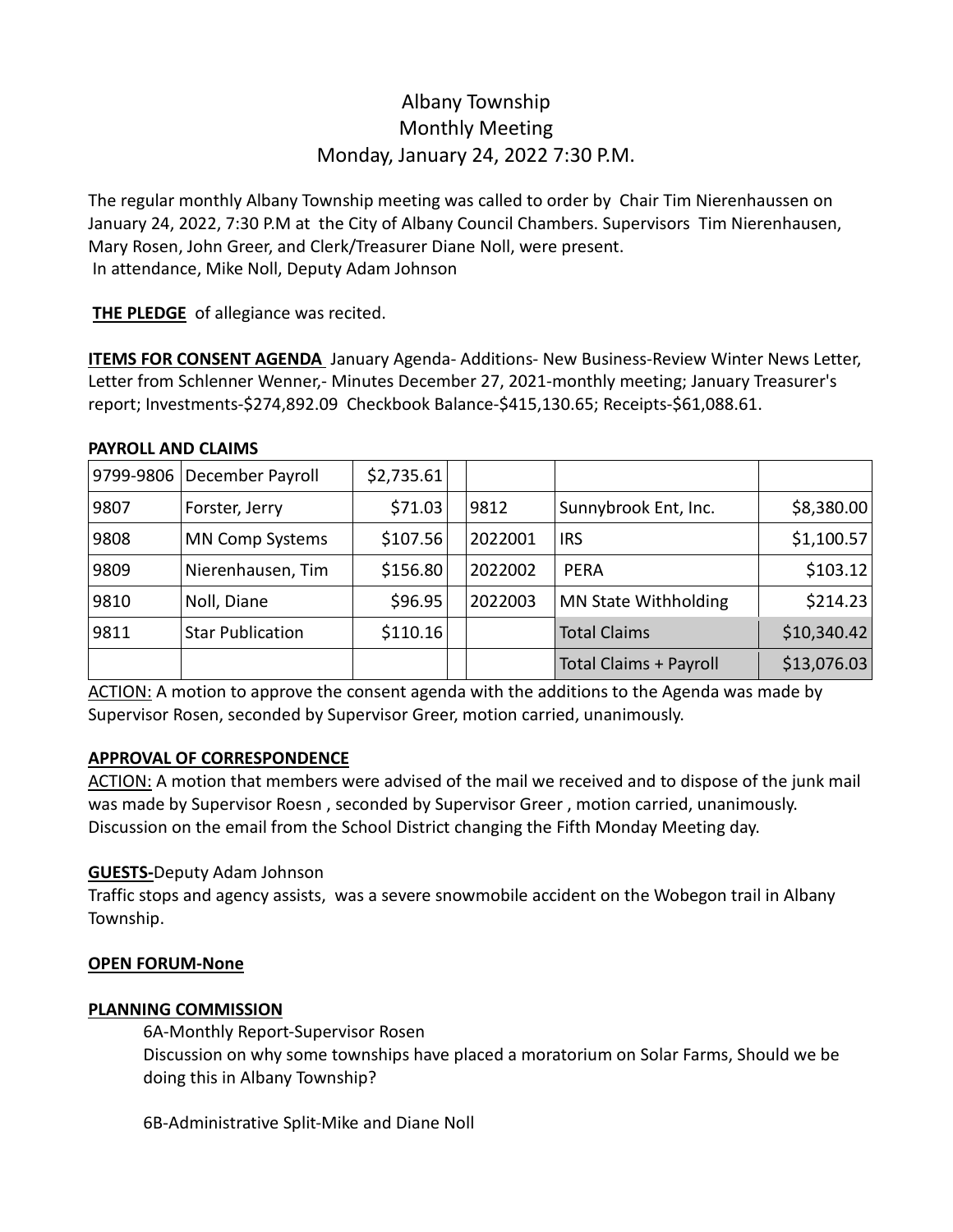# Albany Township Monthly Meeting Monday, January 24, 2022 7:30 P.M.

The regular monthly Albany Township meeting was called to order by Chair Tim Nierenhaussen on January 24, 2022, 7:30 P.M at the City of Albany Council Chambers. Supervisors Tim Nierenhausen, Mary Rosen, John Greer, and Clerk/Treasurer Diane Noll, were present. In attendance, Mike Noll, Deputy Adam Johnson

**THE PLEDGE** of allegiance was recited.

**ITEMS FOR CONSENT AGENDA** January Agenda- Additions- New Business-Review Winter News Letter, Letter from Schlenner Wenner,- Minutes December 27, 2021-monthly meeting; January Treasurer's report; Investments-\$274,892.09 Checkbook Balance-\$415,130.65; Receipts-\$61,088.61.

#### **PAYROLL AND CLAIMS**

|      | 9799-9806 December Payroll | \$2,735.61 |         |                               |             |
|------|----------------------------|------------|---------|-------------------------------|-------------|
| 9807 | Forster, Jerry             | \$71.03    | 9812    | Sunnybrook Ent, Inc.          | \$8,380.00  |
| 9808 | <b>MN Comp Systems</b>     | \$107.56   | 2022001 | <b>IRS</b>                    | \$1,100.57  |
| 9809 | Nierenhausen, Tim          | \$156.80   | 2022002 | <b>PERA</b>                   | \$103.12    |
| 9810 | Noll, Diane                | \$96.95    | 2022003 | <b>MN State Withholding</b>   | \$214.23    |
| 9811 | <b>Star Publication</b>    | \$110.16   |         | <b>Total Claims</b>           | \$10,340.42 |
|      |                            |            |         | <b>Total Claims + Payroll</b> | \$13,076.03 |

ACTION: A motion to approve the consent agenda with the additions to the Agenda was made by Supervisor Rosen, seconded by Supervisor Greer, motion carried, unanimously.

## **APPROVAL OF CORRESPONDENCE**

ACTION: A motion that members were advised of the mail we received and to dispose of the junk mail was made by Supervisor Roesn , seconded by Supervisor Greer , motion carried, unanimously. Discussion on the email from the School District changing the Fifth Monday Meeting day.

## **GUESTS-**Deputy Adam Johnson

Traffic stops and agency assists, was a severe snowmobile accident on the Wobegon trail in Albany Township.

## **OPEN FORUM-None**

#### **PLANNING COMMISSION**

6A-Monthly Report-Supervisor Rosen Discussion on why some townships have placed a moratorium on Solar Farms, Should we be doing this in Albany Township?

6B-Administrative Split-Mike and Diane Noll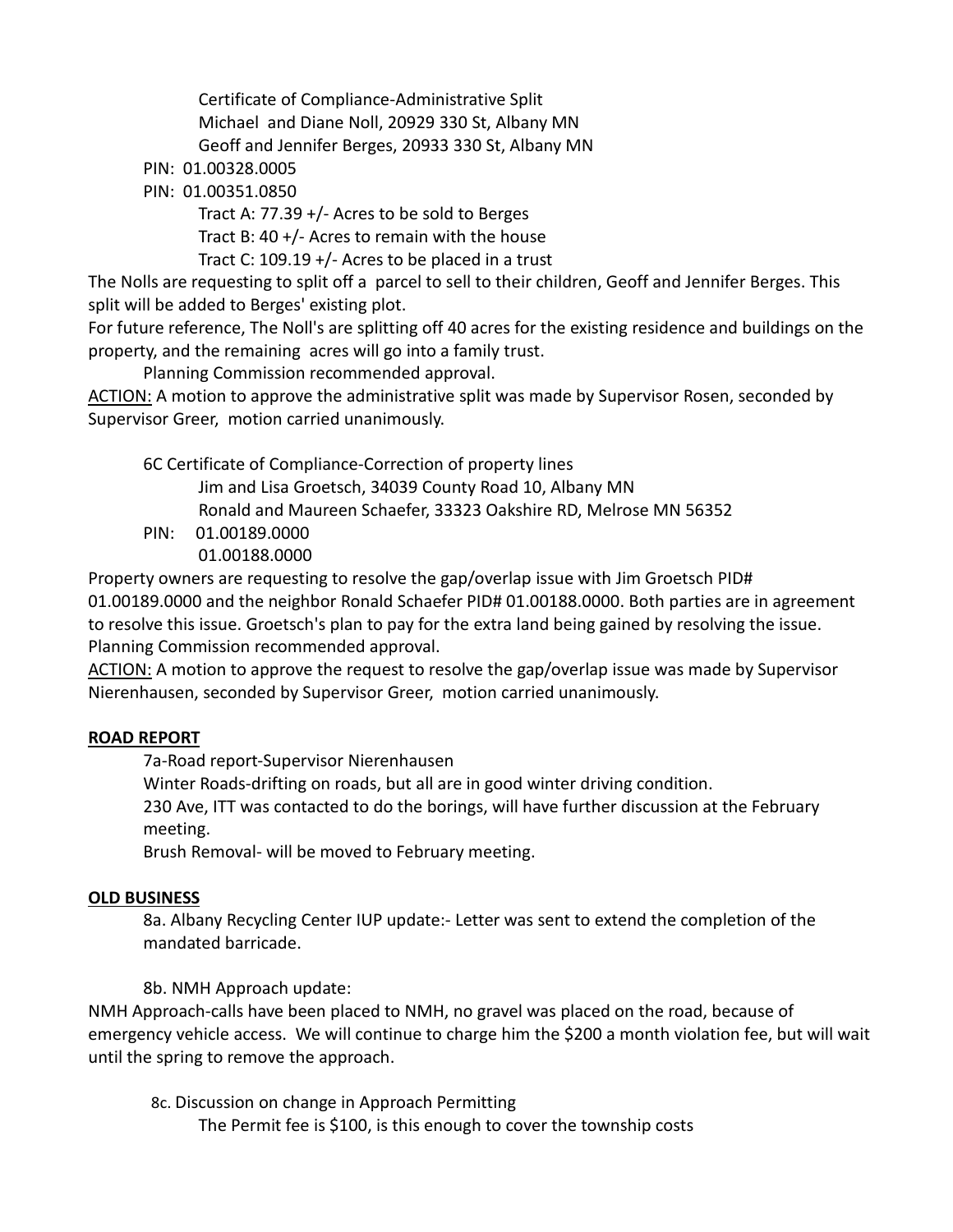Certificate of Compliance-Administrative Split Michael and Diane Noll, 20929 330 St, Albany MN Geoff and Jennifer Berges, 20933 330 St, Albany MN

PIN: 01.00328.0005

PIN: 01.00351.0850

 Tract A: 77.39 +/- Acres to be sold to Berges Tract B: 40 +/- Acres to remain with the house Tract C: 109.19 +/- Acres to be placed in a trust

The Nolls are requesting to split off a parcel to sell to their children, Geoff and Jennifer Berges. This split will be added to Berges' existing plot.

For future reference, The Noll's are splitting off 40 acres for the existing residence and buildings on the property, and the remaining acres will go into a family trust.

Planning Commission recommended approval.

ACTION: A motion to approve the administrative split was made by Supervisor Rosen, seconded by Supervisor Greer, motion carried unanimously.

6C Certificate of Compliance-Correction of property lines Jim and Lisa Groetsch, 34039 County Road 10, Albany MN Ronald and Maureen Schaefer, 33323 Oakshire RD, Melrose MN 56352 PIN: 01.00189.0000 01.00188.0000

Property owners are requesting to resolve the gap/overlap issue with Jim Groetsch PID# 01.00189.0000 and the neighbor Ronald Schaefer PID# 01.00188.0000. Both parties are in agreement to resolve this issue. Groetsch's plan to pay for the extra land being gained by resolving the issue. Planning Commission recommended approval.

ACTION: A motion to approve the request to resolve the gap/overlap issue was made by Supervisor Nierenhausen, seconded by Supervisor Greer, motion carried unanimously.

## **ROAD REPORT**

7a-Road report-Supervisor Nierenhausen

Winter Roads-drifting on roads, but all are in good winter driving condition.

230 Ave, ITT was contacted to do the borings, will have further discussion at the February meeting.

Brush Removal- will be moved to February meeting.

## **OLD BUSINESS**

8a. Albany Recycling Center IUP update:- Letter was sent to extend the completion of the mandated barricade.

## 8b. NMH Approach update:

NMH Approach-calls have been placed to NMH, no gravel was placed on the road, because of emergency vehicle access. We will continue to charge him the \$200 a month violation fee, but will wait until the spring to remove the approach.

 8c. Discussion on change in Approach Permitting The Permit fee is \$100, is this enough to cover the township costs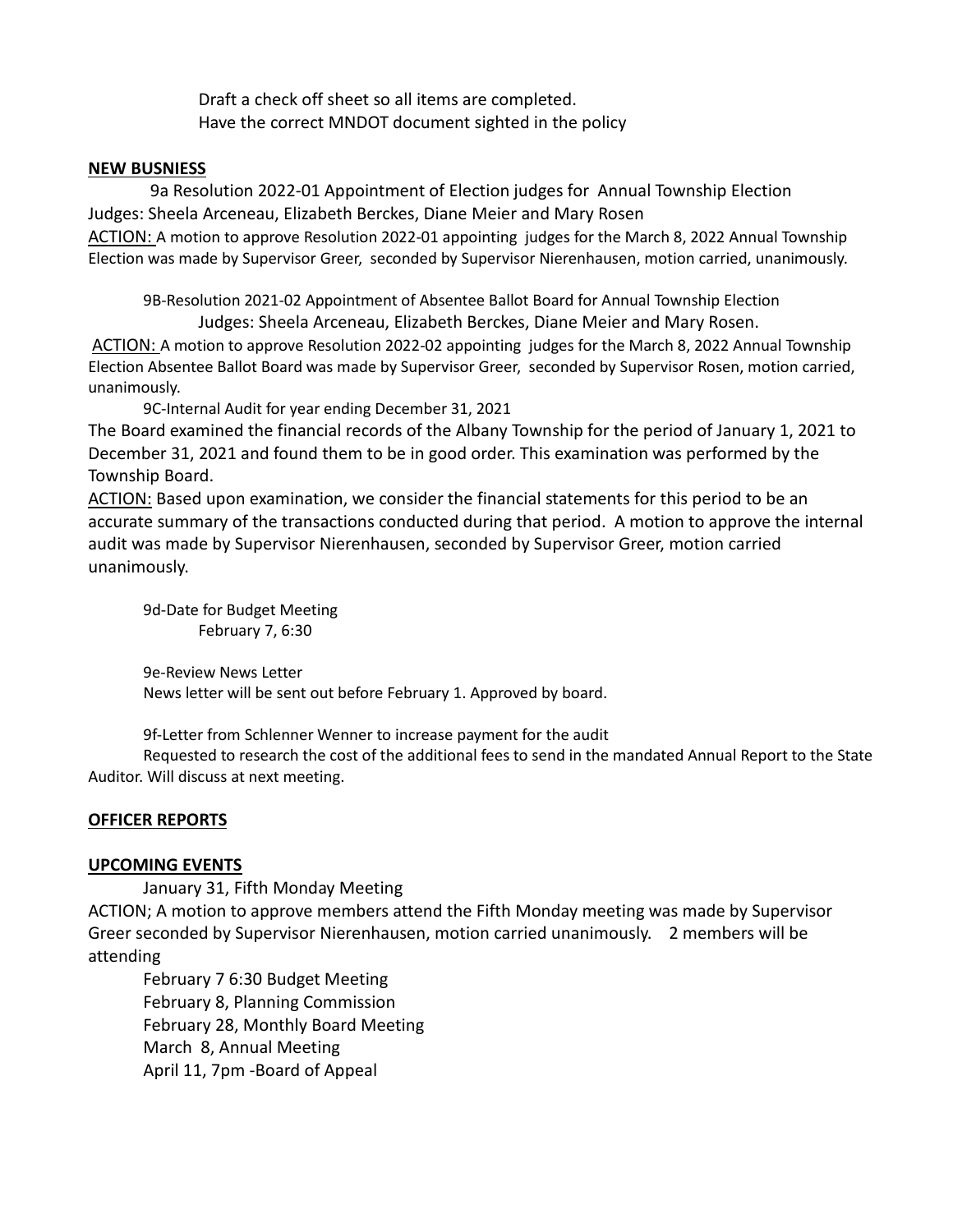Draft a check off sheet so all items are completed. Have the correct MNDOT document sighted in the policy

#### **NEW BUSNIESS**

 9a Resolution 2022-01 Appointment of Election judges for Annual Township Election Judges: Sheela Arceneau, Elizabeth Berckes, Diane Meier and Mary Rosen ACTION: A motion to approve Resolution 2022-01 appointing judges for the March 8, 2022 Annual Township Election was made by Supervisor Greer, seconded by Supervisor Nierenhausen, motion carried, unanimously.

9B-Resolution 2021-02 Appointment of Absentee Ballot Board for Annual Township Election Judges: Sheela Arceneau, Elizabeth Berckes, Diane Meier and Mary Rosen.

ACTION: A motion to approve Resolution 2022-02 appointing judges for the March 8, 2022 Annual Township Election Absentee Ballot Board was made by Supervisor Greer, seconded by Supervisor Rosen, motion carried, unanimously.

9C-Internal Audit for year ending December 31, 2021

The Board examined the financial records of the Albany Township for the period of January 1, 2021 to December 31, 2021 and found them to be in good order. This examination was performed by the Township Board.

ACTION: Based upon examination, we consider the financial statements for this period to be an accurate summary of the transactions conducted during that period. A motion to approve the internal audit was made by Supervisor Nierenhausen, seconded by Supervisor Greer, motion carried unanimously.

9d-Date for Budget Meeting February 7, 6:30

9e-Review News Letter News letter will be sent out before February 1. Approved by board.

9f-Letter from Schlenner Wenner to increase payment for the audit

Requested to research the cost of the additional fees to send in the mandated Annual Report to the State Auditor. Will discuss at next meeting.

#### **OFFICER REPORTS**

#### **UPCOMING EVENTS**

January 31, Fifth Monday Meeting ACTION; A motion to approve members attend the Fifth Monday meeting was made by Supervisor Greer seconded by Supervisor Nierenhausen, motion carried unanimously. 2 members will be attending

February 7 6:30 Budget Meeting February 8, Planning Commission February 28, Monthly Board Meeting March 8, Annual Meeting April 11, 7pm -Board of Appeal